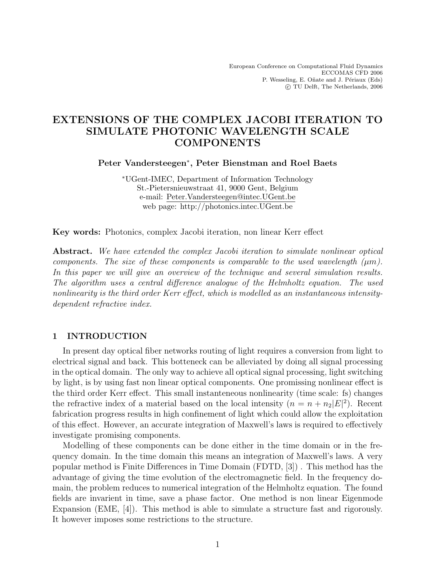# EXTENSIONS OF THE COMPLEX JACOBI ITERATION TO SIMULATE PHOTONIC WAVELENGTH SCALE COMPONENTS

Peter Vandersteegen<sup>∗</sup> , Peter Bienstman and Roel Baets

<sup>∗</sup>UGent-IMEC, Department of Information Technology St.-Pietersnieuwstraat 41, 9000 Gent, Belgium e-mail: Peter.Vandersteegen@intec.UGent.be web page: http://photonics.intec.UGent.be

Key words: Photonics, complex Jacobi iteration, non linear Kerr effect

Abstract. We have extended the complex Jacobi iteration to simulate nonlinear optical components. The size of these components is comparable to the used wavelength  $(\mu m)$ . In this paper we will give an overview of the technique and several simulation results. The algorithm uses a central difference analogue of the Helmholtz equation. The used nonlinearity is the third order Kerr effect, which is modelled as an instantaneous intensitydependent refractive index.

## 1 INTRODUCTION

In present day optical fiber networks routing of light requires a conversion from light to electrical signal and back. This botteneck can be alleviated by doing all signal processing in the optical domain. The only way to achieve all optical signal processing, light switching by light, is by using fast non linear optical components. One promissing nonlinear effect is the third order Kerr effect. This small instanteneous nonlinearity (time scale: fs) changes the refractive index of a material based on the local intensity  $(n = n + n_2|E|^2)$ . Recent fabrication progress results in high confinement of light which could allow the exploitation of this effect. However, an accurate integration of Maxwell's laws is required to effectively investigate promising components.

Modelling of these components can be done either in the time domain or in the frequency domain. In the time domain this means an integration of Maxwell's laws. A very popular method is Finite Differences in Time Domain (FDTD, [3]) . This method has the advantage of giving the time evolution of the electromagnetic field. In the frequency domain, the problem reduces to numerical integration of the Helmholtz equation. The found fields are invarient in time, save a phase factor. One method is non linear Eigenmode Expansion (EME, [4]). This method is able to simulate a structure fast and rigorously. It however imposes some restrictions to the structure.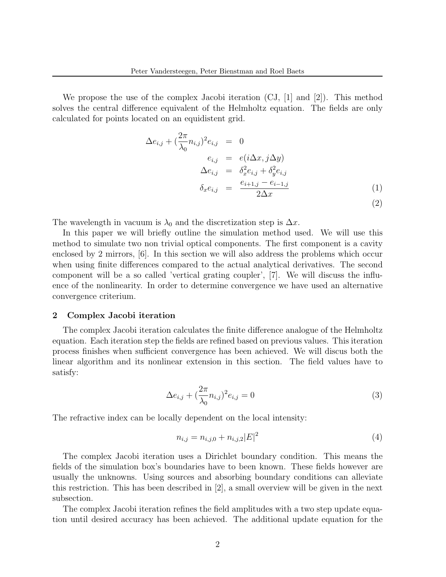We propose the use of the complex Jacobi iteration  $(CJ, |1|)$  and  $|2|$ ). This method solves the central difference equivalent of the Helmholtz equation. The fields are only calculated for points located on an equidistent grid.

$$
\Delta e_{i,j} + \left(\frac{2\pi}{\lambda_0} n_{i,j}\right)^2 e_{i,j} = 0
$$
  
\n
$$
e_{i,j} = e(i\Delta x, j\Delta y)
$$
  
\n
$$
\Delta e_{i,j} = \delta_x^2 e_{i,j} + \delta_y^2 e_{i,j}
$$
  
\n
$$
\delta_x e_{i,j} = \frac{e_{i+1,j} - e_{i-1,j}}{2\Delta x}
$$
\n(1)

The wavelength in vacuum is  $\lambda_0$  and the discretization step is  $\Delta x$ .

In this paper we will briefly outline the simulation method used. We will use this method to simulate two non trivial optical components. The first component is a cavity enclosed by 2 mirrors, [6]. In this section we will also address the problems which occur when using finite differences compared to the actual analytical derivatives. The second component will be a so called 'vertical grating coupler', [7]. We will discuss the influence of the nonlinearity. In order to determine convergence we have used an alternative convergence criterium.

#### 2 Complex Jacobi iteration

The complex Jacobi iteration calculates the finite difference analogue of the Helmholtz equation. Each iteration step the fields are refined based on previous values. This iteration process finishes when sufficient convergence has been achieved. We will discus both the linear algorithm and its nonlinear extension in this section. The field values have to satisfy:

$$
\Delta e_{i,j} + (\frac{2\pi}{\lambda_0} n_{i,j})^2 e_{i,j} = 0
$$
\n(3)

The refractive index can be locally dependent on the local intensity:

$$
n_{i,j} = n_{i,j,0} + n_{i,j,2} |E|^2
$$
\n(4)

The complex Jacobi iteration uses a Dirichlet boundary condition. This means the fields of the simulation box's boundaries have to been known. These fields however are usually the unknowns. Using sources and absorbing boundary conditions can alleviate this restriction. This has been described in [2], a small overview will be given in the next subsection.

The complex Jacobi iteration refines the field amplitudes with a two step update equation until desired accuracy has been achieved. The additional update equation for the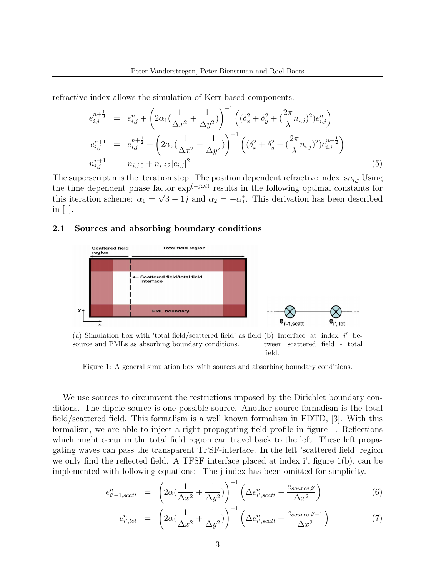refractive index allows the simulation of Kerr based components.

$$
e_{i,j}^{n+\frac{1}{2}} = e_{i,j}^{n} + \left(2\alpha_1\left(\frac{1}{\Delta x^2} + \frac{1}{\Delta y^2}\right)\right)^{-1} \left((\delta_x^2 + \delta_y^2 + (\frac{2\pi}{\lambda}n_{i,j})^2)e_{i,j}^n\right)
$$
  
\n
$$
e_{i,j}^{n+1} = e_{i,j}^{n+\frac{1}{2}} + \left(2\alpha_2\left(\frac{1}{\Delta x^2} + \frac{1}{\Delta y^2}\right)\right)^{-1} \left((\delta_x^2 + \delta_y^2 + (\frac{2\pi}{\lambda}n_{i,j})^2)e_{i,j}^{n+\frac{1}{2}}\right)
$$
  
\n
$$
n_{i,j}^{n+1} = n_{i,j,0} + n_{i,j,2}|e_{i,j}|^2
$$
\n(5)

The superscript n is the iteration step. The position dependent refractive index  $\text{is}n_{i,j}$  Using the time dependent phase factor  $exp^{(-j\omega t)}$  results in the following optimal constants for this iteration scheme:  $\alpha_1 = \sqrt{3} - 1j$  and  $\alpha_2 = -\alpha_1^*$ . This derivation has been described in  $|1|$ .

#### 2.1 Sources and absorbing boundary conditions



Figure 1: A general simulation box with sources and absorbing boundary conditions.

We use sources to circumvent the restrictions imposed by the Dirichlet boundary conditions. The dipole source is one possible source. Another source formalism is the total field/scattered field. This formalism is a well known formalism in FDTD, [3]. With this formalism, we are able to inject a right propagating field profile in figure 1. Reflections which might occur in the total field region can travel back to the left. These left propagating waves can pass the transparent TFSF-interface. In the left 'scattered field' region we only find the reflected field. A TFSF interface placed at index i', figure 1(b), can be implemented with following equations: -The j-index has been omitted for simplicity.-

$$
e_{i'-1,scatt}^n = \left(2\alpha\left(\frac{1}{\Delta x^2} + \frac{1}{\Delta y^2}\right)\right)^{-1} \left(\Delta e_{i',scatt}^n - \frac{e_{source,i'}}{\Delta x^2}\right)
$$
(6)

$$
e_{i',tot}^n = \left(2\alpha\left(\frac{1}{\Delta x^2} + \frac{1}{\Delta y^2}\right)\right)^{-1} \left(\Delta e_{i',scatt}^n + \frac{e_{source,i'-1}}{\Delta x^2}\right)
$$
(7)

field.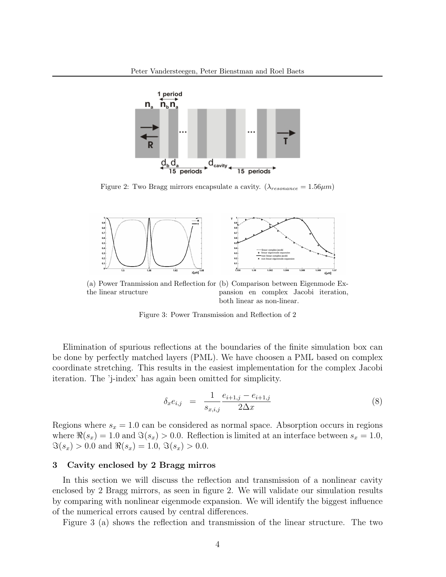

Figure 2: Two Bragg mirrors encapsulate a cavity.  $(\lambda_{resonance} = 1.56 \mu m)$ 



(a) Power Tranmission and Reflection for (b) Comparison between Eigenmode Exthe linear structure pansion en complex Jacobi iteration, both linear as non-linear.

Figure 3: Power Transmission and Reflection of 2

Elimination of spurious reflections at the boundaries of the finite simulation box can be done by perfectly matched layers (PML). We have choosen a PML based on complex coordinate stretching. This results in the easiest implementation for the complex Jacobi iteration. The 'j-index' has again been omitted for simplicity.

$$
\delta_x e_{i,j} = \frac{1}{s_{x,i,j}} \frac{e_{i+1,j} - e_{i+1,j}}{2\Delta x} \tag{8}
$$

Regions where  $s_x = 1.0$  can be considered as normal space. Absorption occurs in regions where  $\Re(s_x) = 1.0$  and  $\Im(s_x) > 0.0$ . Reflection is limited at an interface between  $s_x = 1.0$ ,  $\Im(s_x) > 0.0$  and  $\Re(s_x) = 1.0, \Im(s_x) > 0.0$ .

#### 3 Cavity enclosed by 2 Bragg mirros

In this section we will discuss the reflection and transmission of a nonlinear cavity enclosed by 2 Bragg mirrors, as seen in figure 2. We will validate our simulation results by comparing with nonlinear eigenmode expansion. We will identify the biggest influence of the numerical errors caused by central differences.

Figure 3 (a) shows the reflection and transmission of the linear structure. The two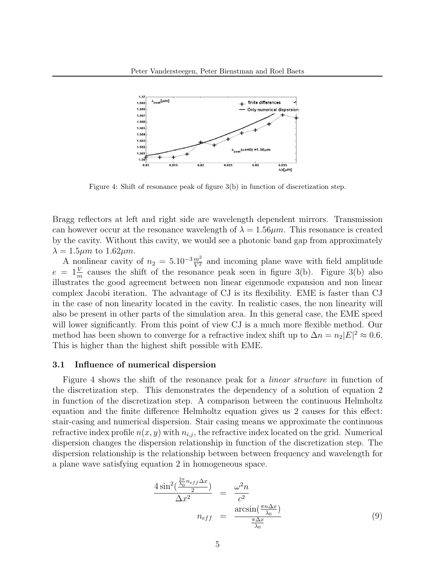

Figure 4: Shift of resonance peak of figure 3(b) in function of discretization step.

Bragg reflectors at left and right side are wavelength dependent mirrors. Transmission can however occur at the resonance wavelength of  $\lambda = 1.56 \mu m$ . This resonance is created by the cavity. Without this cavity, we would see a photonic band gap from approximately  $\lambda = 1.5 \mu m$  to  $1.62 \mu m$ .

A nonlinear cavity of  $n_2 = 5.10^{-3} \frac{m^2}{V^2}$  and incoming plane wave with field amplitude  $e = 1 \frac{V}{m}$  causes the shift of the resonance peak seen in figure 3(b). Figure 3(b) also illustrates the good agreement between non linear eigenmode expansion and non linear complex Jacobi iteration. The advantage of CJ is its flexibility. EME is faster than CJ in the case of non linearity located in the cavity. In realistic cases, the non linearity will also be present in other parts of the simulation area. In this general case, the EME speed will lower significantly. From this point of view CJ is a much more flexible method. Our method has been shown to converge for a refractive index shift up to  $\Delta n = n_2 |E|^2 \approx 0.6$ . This is higher than the highest shift possible with EME.

#### 3.1 Influence of numerical dispersion

Figure 4 shows the shift of the resonance peak for a linear structure in function of the discretization step. This demonstrates the dependency of a solution of equation 2 in function of the discretization step. A comparison between the continuous Helmholtz equation and the finite difference Helmholtz equation gives us 2 causes for this effect: stair-casing and numerical dispersion. Stair casing means we approximate the continuous refractive index profile  $n(x, y)$  with  $n_{i,j}$ , the refractive index located on the grid. Numerical dispersion changes the dispersion relationship in function of the discretization step. The dispersion relationship is the relationship between between frequency and wavelength for a plane wave satisfying equation 2 in homogeneous space.

$$
\frac{4\sin^2(\frac{\frac{2\pi}{\lambda_0}n_{eff}\Delta x}{2})}{\Delta x^2} = \frac{\omega^2 n}{c^2}
$$
\n
$$
n_{eff} = \frac{\arcsin(\frac{\pi n \Delta x}{\lambda_0})}{\frac{\pi \Delta x}{\lambda_0}}
$$
\n(9)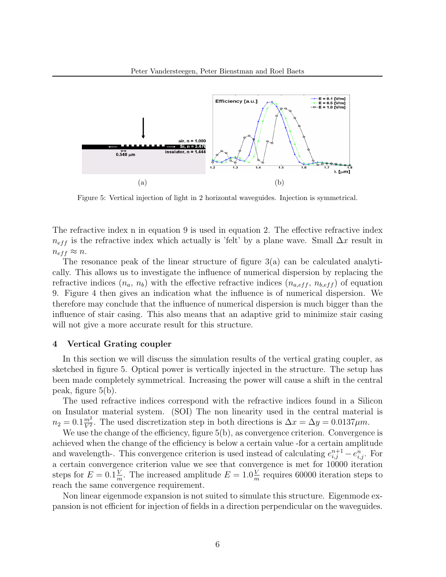

Figure 5: Vertical injection of light in 2 horizontal waveguides. Injection is symmetrical.

The refractive index n in equation 9 is used in equation 2. The effective refractive index  $n_{eff}$  is the refractive index which actually is 'felt' by a plane wave. Small  $\Delta x$  result in  $n_{eff} \approx n$ .

The resonance peak of the linear structure of figure  $3(a)$  can be calculated analytically. This allows us to investigate the influence of numerical dispersion by replacing the refractive indices  $(n_a, n_b)$  with the effective refractive indices  $(n_{a,eff}, n_{b,eff})$  of equation 9. Figure 4 then gives an indication what the influence is of numerical dispersion. We therefore may conclude that the influence of numerical dispersion is much bigger than the influence of stair casing. This also means that an adaptive grid to minimize stair casing will not give a more accurate result for this structure.

### 4 Vertical Grating coupler

In this section we will discuss the simulation results of the vertical grating coupler, as sketched in figure 5. Optical power is vertically injected in the structure. The setup has been made completely symmetrical. Increasing the power will cause a shift in the central peak, figure 5(b).

The used refractive indices correspond with the refractive indices found in a Silicon on Insulator material system. (SOI) The non linearity used in the central material is  $n_2 = 0.1 \frac{m^2}{V^2}$  $\frac{m^2}{V^2}$ . The used discretization step in both directions is  $\Delta x = \Delta y = 0.0137 \mu m$ .

We use the change of the efficiency, figure 5(b), as convergence criterion. Convergence is achieved when the change of the efficiency is below a certain value -for a certain amplitude and wavelength-. This convergence criterion is used instead of calculating  $e_{i,j}^{n+1} - e_{i,j}^n$ . For a certain convergence criterion value we see that convergence is met for 10000 iteration steps for  $E = 0.1 \frac{V}{n}$  $\frac{V}{m}$ . The increased amplitude  $E = 1.0\frac{V}{m}$  $\frac{V}{m}$  requires 60000 iteration steps to reach the same convergence requirement.

Non linear eigenmode expansion is not suited to simulate this structure. Eigenmode expansion is not efficient for injection of fields in a direction perpendicular on the waveguides.